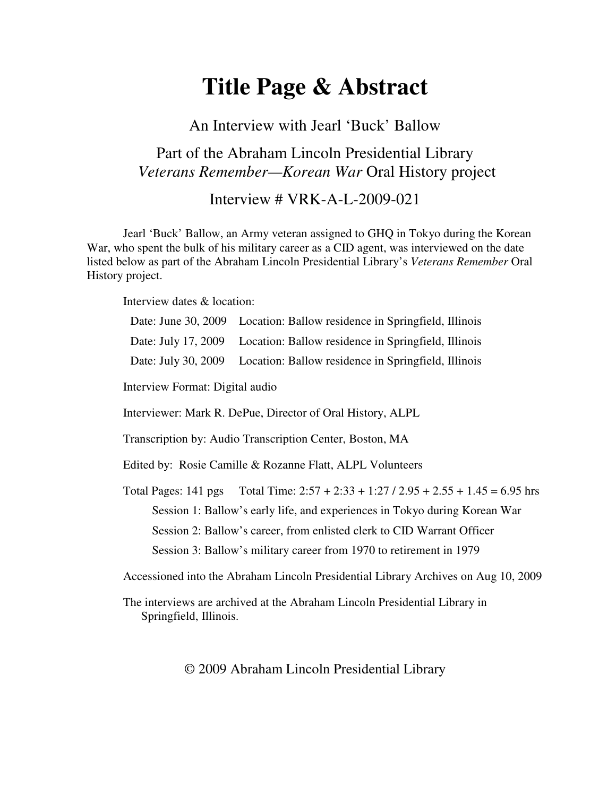# **Title Page & Abstract**

An Interview with Jearl 'Buck' Ballow

## Part of the Abraham Lincoln Presidential Library *Veterans Remember—Korean War* Oral History project

Interview # VRK-A-L-2009-021

Jearl 'Buck' Ballow, an Army veteran assigned to GHQ in Tokyo during the Korean War, who spent the bulk of his military career as a CID agent, was interviewed on the date listed below as part of the Abraham Lincoln Presidential Library's *Veterans Remember* Oral History project.

Interview dates & location:

| Date: June 30, 2009                                                                | Location: Ballow residence in Springfield, Illinois                 |
|------------------------------------------------------------------------------------|---------------------------------------------------------------------|
| Date: July 17, 2009                                                                | Location: Ballow residence in Springfield, Illinois                 |
| Date: July 30, 2009                                                                | Location: Ballow residence in Springfield, Illinois                 |
| Interview Format: Digital audio                                                    |                                                                     |
| Interviewer: Mark R. DePue, Director of Oral History, ALPL                         |                                                                     |
| Transcription by: Audio Transcription Center, Boston, MA                           |                                                                     |
| Edited by: Rosie Camille & Rozanne Flatt, ALPL Volunteers                          |                                                                     |
| Total Pages: 141 pgs                                                               | Total Time: $2:57 + 2:33 + 1:27 / 2.95 + 2.55 + 1.45 = 6.95$ hrs    |
| Session 1: Ballow's early life, and experiences in Tokyo during Korean War         |                                                                     |
| Session 2: Ballow's career, from enlisted clerk to CID Warrant Officer             |                                                                     |
|                                                                                    | Session 3: Ballow's military career from 1970 to retirement in 1979 |
| Accessioned into the Abraham Lincoln Presidential Library Archives on Aug 10, 2009 |                                                                     |

The interviews are archived at the Abraham Lincoln Presidential Library in Springfield, Illinois.

© 2009 Abraham Lincoln Presidential Library